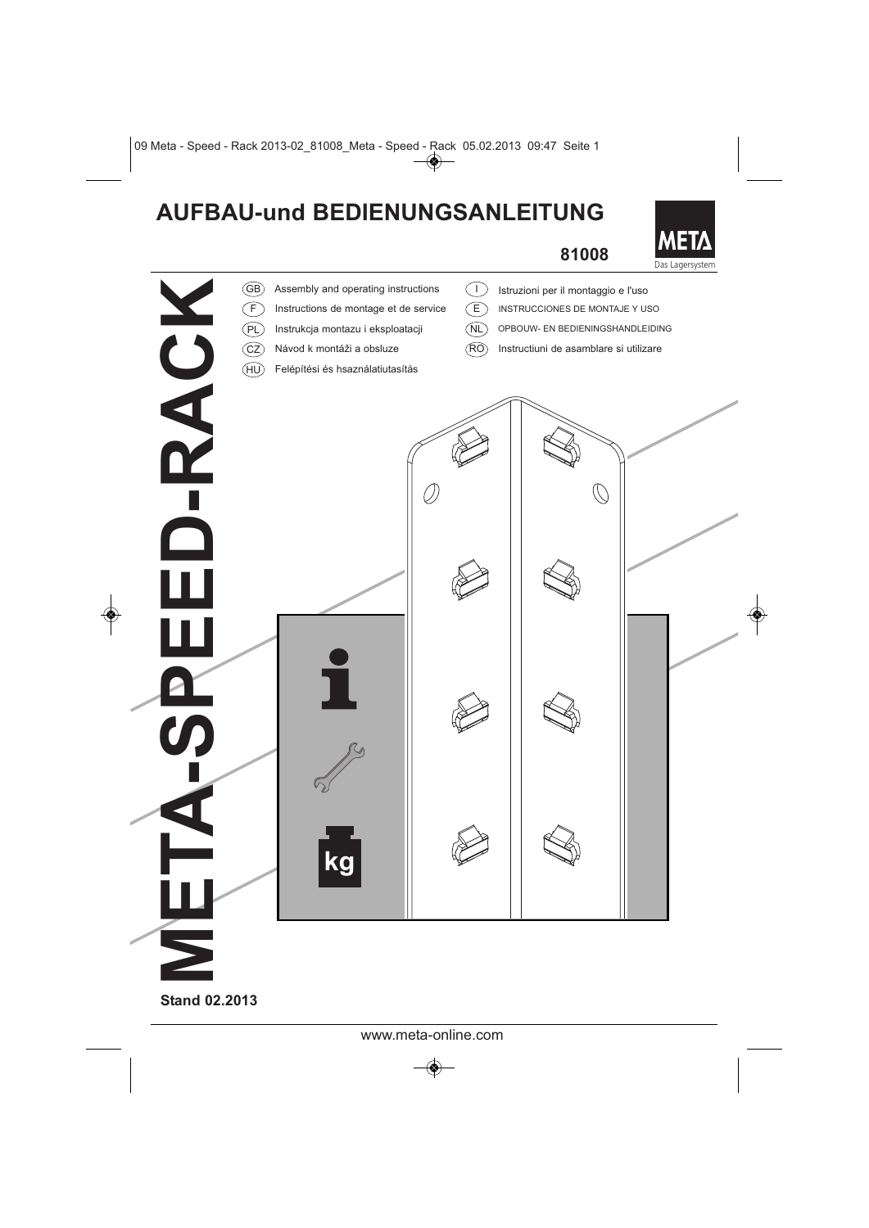## **AUFBAU-und BEDIENUNGSANLEITUNG**

## **81008**

**META** 



**Stand 02.2013**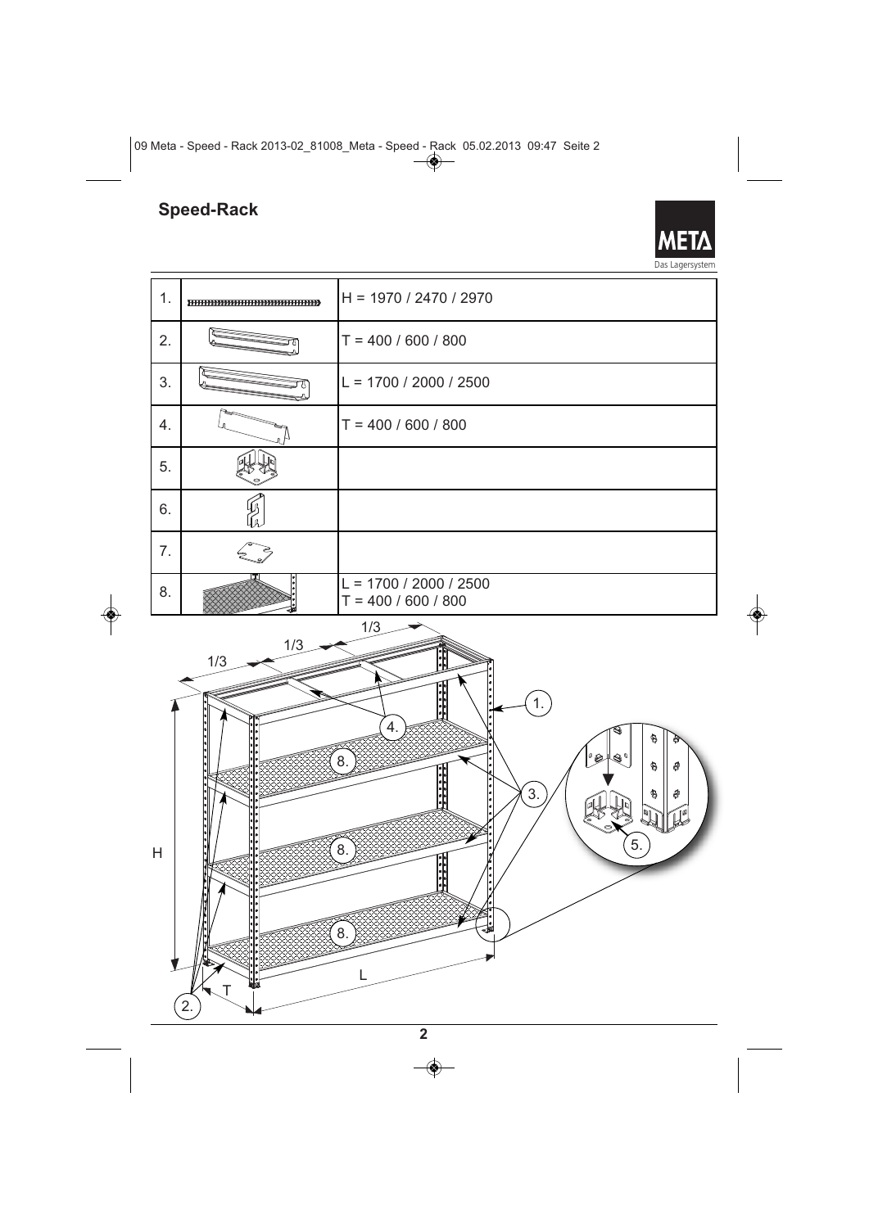## **Speed-Rack**

META Das Lagersystem

| 1. |                                                                                                                                                                                                                                        | $H = 1970 / 2470 / 2970$                          |  |  |
|----|----------------------------------------------------------------------------------------------------------------------------------------------------------------------------------------------------------------------------------------|---------------------------------------------------|--|--|
| 2. |                                                                                                                                                                                                                                        | $T = 400 / 600 / 800$                             |  |  |
| 3. |                                                                                                                                                                                                                                        | $L = 1700 / 2000 / 2500$                          |  |  |
| 4. |                                                                                                                                                                                                                                        | $T = 400 / 600 / 800$                             |  |  |
| 5. |                                                                                                                                                                                                                                        |                                                   |  |  |
| 6. |                                                                                                                                                                                                                                        |                                                   |  |  |
| 7. |                                                                                                                                                                                                                                        |                                                   |  |  |
| 8. |                                                                                                                                                                                                                                        | $L = 1700 / 2000 / 2500$<br>$T = 400 / 600 / 800$ |  |  |
| H  | 1/3<br>1/3<br>$\cdot$<br>1/3<br>$\frac{1}{2}$<br>$\overline{1}$ .<br>4<br>Ò<br>8<br>∣°@<br>8.<br>0<br>â<br>$\ddot{\phantom{a}}$<br>$\mathfrak{z}$ .<br>ø<br>۵<br>١ø<br>$\overline{5}$ .<br>8.<br>Ŀ<br>$\overline{8}$ .<br>L<br>T<br>2. |                                                   |  |  |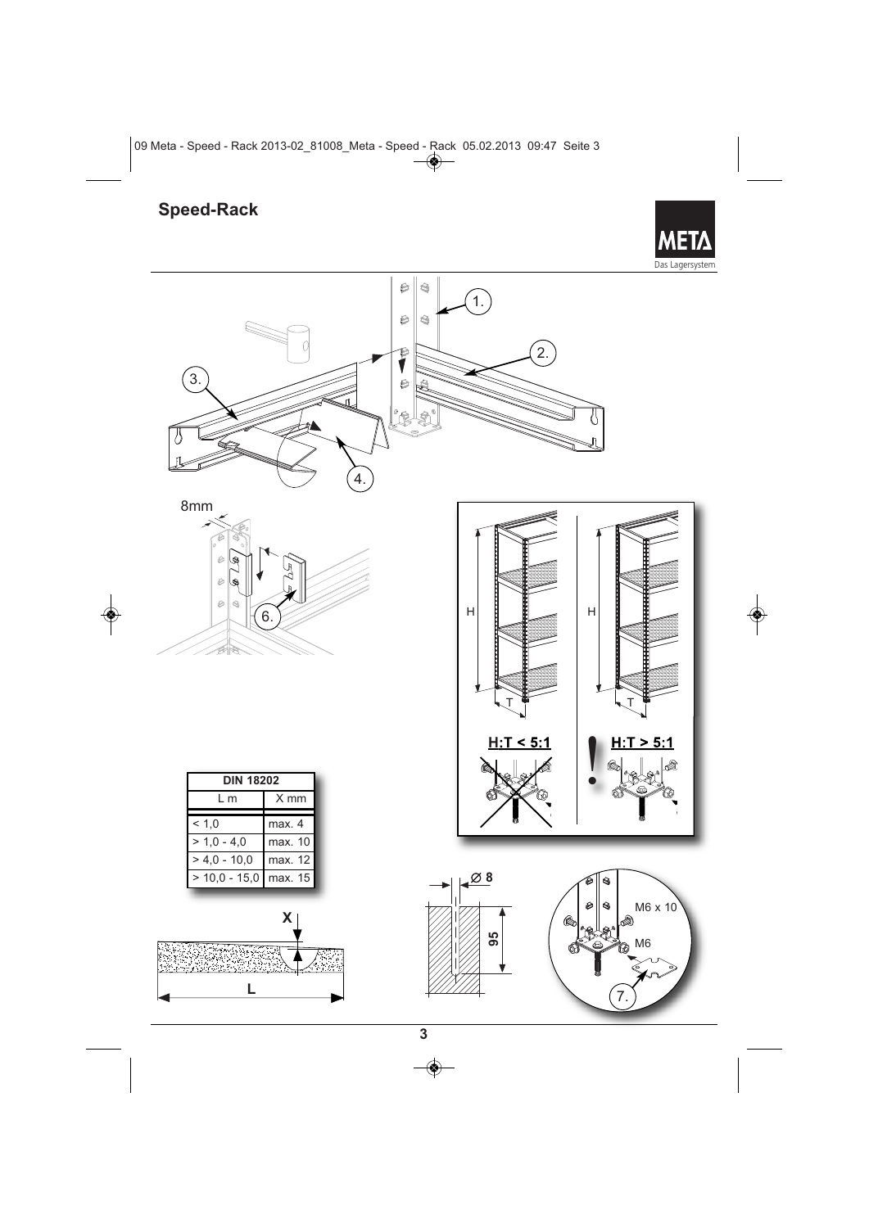## **Speed-Rack**